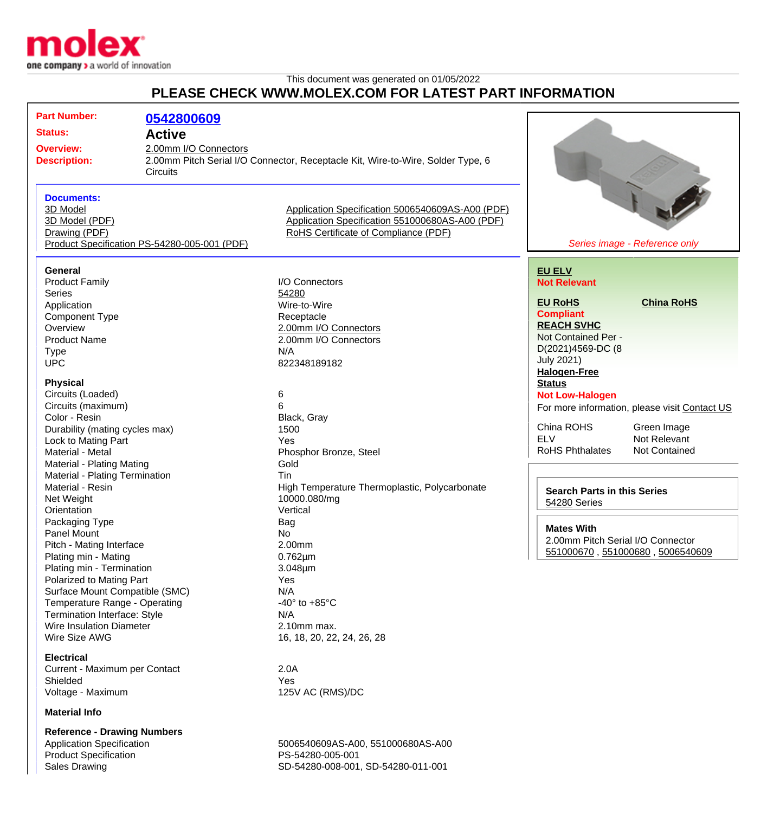

## This document was generated on 01/05/2022 **PLEASE CHECK WWW.MOLEX.COM FOR LATEST PART INFORMATION**

| <b>Part Number:</b><br><b>Status:</b><br><b>Overview:</b><br><b>Description:</b> | 0542800609<br><b>Active</b><br>2.00mm I/O Connectors<br><b>Circuits</b> | 2.00mm Pitch Serial I/O Connector, Receptacle Kit, Wire-to-Wire, Solder Type, 6 |                                    |                                               |
|----------------------------------------------------------------------------------|-------------------------------------------------------------------------|---------------------------------------------------------------------------------|------------------------------------|-----------------------------------------------|
| <b>Documents:</b>                                                                |                                                                         |                                                                                 |                                    |                                               |
| 3D Model                                                                         |                                                                         | Application Specification 5006540609AS-A00 (PDF)                                |                                    |                                               |
| 3D Model (PDF)                                                                   |                                                                         | Application Specification 551000680AS-A00 (PDF)                                 |                                    |                                               |
| Drawing (PDF)                                                                    |                                                                         | RoHS Certificate of Compliance (PDF)                                            |                                    |                                               |
|                                                                                  |                                                                         |                                                                                 |                                    |                                               |
| Product Specification PS-54280-005-001 (PDF)                                     |                                                                         | Series image - Reference only                                                   |                                    |                                               |
| <b>General</b>                                                                   |                                                                         |                                                                                 |                                    |                                               |
|                                                                                  |                                                                         |                                                                                 | <b>EU ELV</b>                      |                                               |
| <b>Product Family</b>                                                            |                                                                         | I/O Connectors                                                                  | <b>Not Relevant</b>                |                                               |
| <b>Series</b>                                                                    |                                                                         | 54280                                                                           |                                    |                                               |
| Application                                                                      |                                                                         | Wire-to-Wire                                                                    | <b>EU RoHS</b>                     | <b>China RoHS</b>                             |
| <b>Component Type</b>                                                            |                                                                         | Receptacle                                                                      | <b>Compliant</b>                   |                                               |
| Overview                                                                         |                                                                         | 2.00mm I/O Connectors                                                           | <b>REACH SVHC</b>                  |                                               |
| <b>Product Name</b>                                                              |                                                                         | 2.00mm I/O Connectors                                                           | Not Contained Per -                |                                               |
| <b>Type</b>                                                                      |                                                                         | N/A                                                                             | D(2021)4569-DC (8                  |                                               |
| <b>UPC</b>                                                                       |                                                                         | 822348189182                                                                    | <b>July 2021)</b>                  |                                               |
|                                                                                  |                                                                         |                                                                                 | <b>Halogen-Free</b>                |                                               |
| <b>Physical</b>                                                                  |                                                                         |                                                                                 | <b>Status</b>                      |                                               |
| Circuits (Loaded)                                                                |                                                                         | 6                                                                               | <b>Not Low-Halogen</b>             |                                               |
| Circuits (maximum)                                                               |                                                                         | 6                                                                               |                                    | For more information, please visit Contact US |
| Color - Resin                                                                    |                                                                         | Black, Gray                                                                     |                                    |                                               |
|                                                                                  |                                                                         | 1500                                                                            | China ROHS                         | Green Image                                   |
| Durability (mating cycles max)                                                   |                                                                         |                                                                                 | <b>ELV</b>                         | Not Relevant                                  |
| Lock to Mating Part                                                              |                                                                         | <b>Yes</b>                                                                      | <b>RoHS Phthalates</b>             | Not Contained                                 |
| Material - Metal                                                                 |                                                                         | Phosphor Bronze, Steel                                                          |                                    |                                               |
| Material - Plating Mating                                                        |                                                                         | Gold                                                                            |                                    |                                               |
| Material - Plating Termination                                                   |                                                                         | Tin                                                                             |                                    |                                               |
| Material - Resin                                                                 |                                                                         | High Temperature Thermoplastic, Polycarbonate                                   | <b>Search Parts in this Series</b> |                                               |
| Net Weight                                                                       |                                                                         | 10000.080/mg                                                                    | 54280 Series                       |                                               |
| Orientation                                                                      |                                                                         | Vertical                                                                        |                                    |                                               |
| Packaging Type                                                                   |                                                                         | Bag                                                                             |                                    |                                               |
| <b>Panel Mount</b>                                                               |                                                                         | No.                                                                             | <b>Mates With</b>                  |                                               |
| Pitch - Mating Interface                                                         |                                                                         | 2.00mm                                                                          | 2.00mm Pitch Serial I/O Connector  |                                               |
| Plating min - Mating                                                             |                                                                         | $0.762 \mu m$                                                                   | 551000670, 551000680, 5006540609   |                                               |
| Plating min - Termination                                                        |                                                                         | $3.048 \mu m$                                                                   |                                    |                                               |
|                                                                                  |                                                                         |                                                                                 |                                    |                                               |
| Polarized to Mating Part                                                         |                                                                         | Yes                                                                             |                                    |                                               |
| Surface Mount Compatible (SMC)                                                   |                                                                         | N/A                                                                             |                                    |                                               |
| Temperature Range - Operating                                                    |                                                                         | -40 $\degree$ to +85 $\degree$ C                                                |                                    |                                               |
| <b>Termination Interface: Style</b>                                              |                                                                         | N/A                                                                             |                                    |                                               |
| <b>Wire Insulation Diameter</b>                                                  |                                                                         | 2.10mm max.                                                                     |                                    |                                               |
| Wire Size AWG                                                                    |                                                                         | 16, 18, 20, 22, 24, 26, 28                                                      |                                    |                                               |
| <b>Electrical</b>                                                                |                                                                         |                                                                                 |                                    |                                               |
| Current - Maximum per Contact                                                    |                                                                         | 2.0A                                                                            |                                    |                                               |
| Shielded                                                                         |                                                                         | Yes                                                                             |                                    |                                               |
| Voltage - Maximum                                                                |                                                                         | 125V AC (RMS)/DC                                                                |                                    |                                               |
| <b>Material Info</b>                                                             |                                                                         |                                                                                 |                                    |                                               |
|                                                                                  |                                                                         |                                                                                 |                                    |                                               |
| <b>Reference - Drawing Numbers</b>                                               |                                                                         |                                                                                 |                                    |                                               |
| <b>Application Specification</b>                                                 |                                                                         | 5006540609AS-A00, 551000680AS-A00                                               |                                    |                                               |
| <b>Product Specification</b>                                                     |                                                                         | PS-54280-005-001                                                                |                                    |                                               |

Sales Drawing Sales Drawing SD-54280-008-001, SD-54280-011-001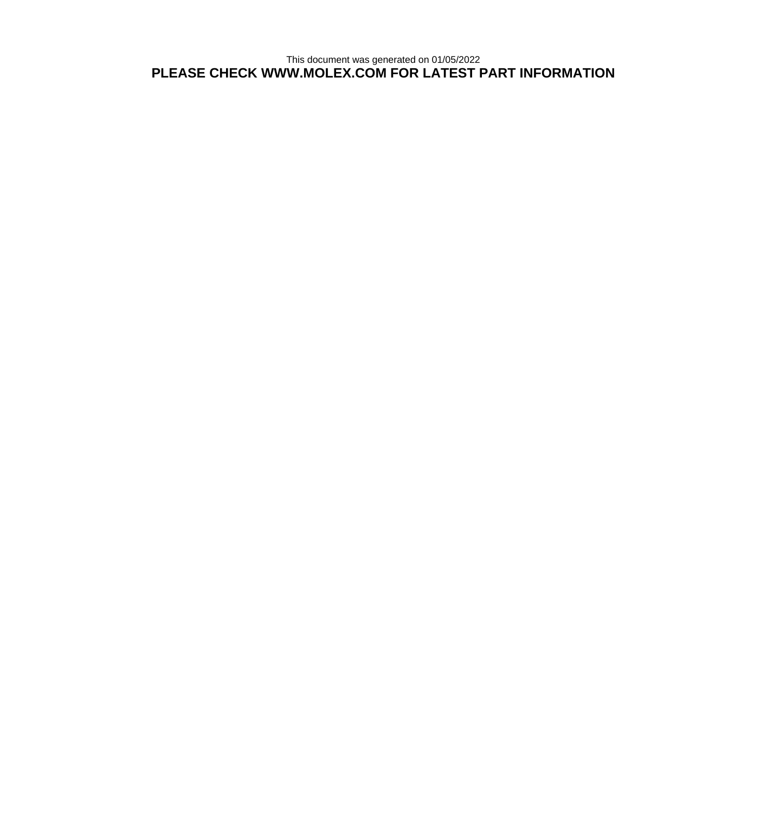This document was generated on 01/05/2022 **PLEASE CHECK WWW.MOLEX.COM FOR LATEST PART INFORMATION**